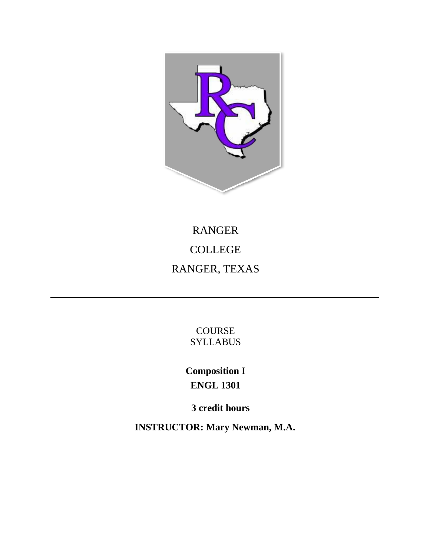

# RANGER COLLEGE RANGER, TEXAS

COURSE **SYLLABUS** 

**Composition I ENGL 1301**

**3 credit hours** 

**INSTRUCTOR: Mary Newman, M.A.**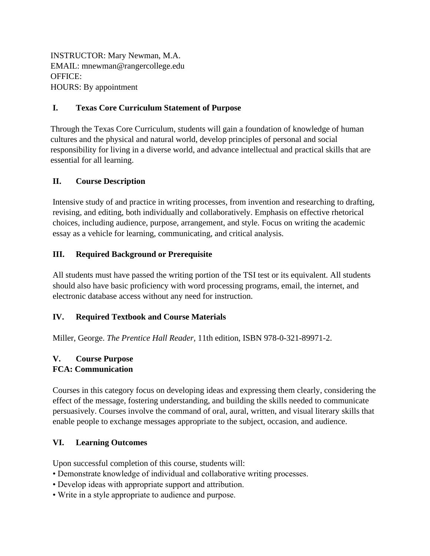INSTRUCTOR: Mary Newman, M.A. EMAIL: mnewman@rangercollege.edu OFFICE: HOURS: By appointment

# **I. Texas Core Curriculum Statement of Purpose**

Through the Texas Core Curriculum, students will gain a foundation of knowledge of human cultures and the physical and natural world, develop principles of personal and social responsibility for living in a diverse world, and advance intellectual and practical skills that are essential for all learning.

# **II. Course Description**

Intensive study of and practice in writing processes, from invention and researching to drafting, revising, and editing, both individually and collaboratively. Emphasis on effective rhetorical choices, including audience, purpose, arrangement, and style. Focus on writing the academic essay as a vehicle for learning, communicating, and critical analysis.

# **III. Required Background or Prerequisite**

All students must have passed the writing portion of the TSI test or its equivalent. All students should also have basic proficiency with word processing programs, email, the internet, and electronic database access without any need for instruction.

### **IV. Required Textbook and Course Materials**

Miller, George. *The Prentice Hall Reader,* 11th edition, ISBN 978-0-321-89971-2.

#### **V. Course Purpose FCA: Communication**

Courses in this category focus on developing ideas and expressing them clearly, considering the effect of the message, fostering understanding, and building the skills needed to communicate persuasively. Courses involve the command of oral, aural, written, and visual literary skills that enable people to exchange messages appropriate to the subject, occasion, and audience.

### **VI. Learning Outcomes**

Upon successful completion of this course, students will:

- Demonstrate knowledge of individual and collaborative writing processes.
- Develop ideas with appropriate support and attribution.
- Write in a style appropriate to audience and purpose.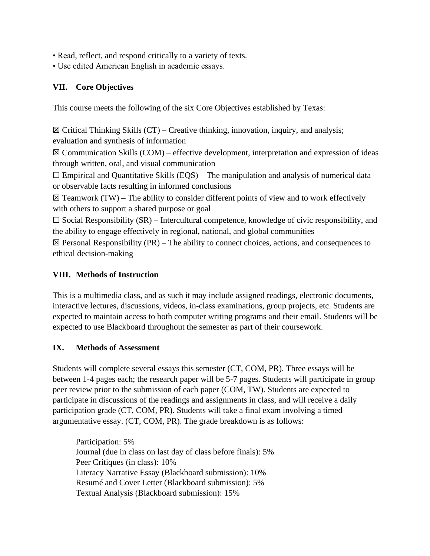- Read, reflect, and respond critically to a variety of texts.
- Use edited American English in academic essays.

# **VII. Core Objectives**

This course meets the following of the six Core Objectives established by Texas:

 $\boxtimes$  Critical Thinking Skills (CT) – Creative thinking, innovation, inquiry, and analysis; evaluation and synthesis of information

 $\boxtimes$  Communication Skills (COM) – effective development, interpretation and expression of ideas through written, oral, and visual communication

 $\Box$  Empirical and Quantitative Skills (EQS) – The manipulation and analysis of numerical data or observable facts resulting in informed conclusions

 $\boxtimes$  Teamwork (TW) – The ability to consider different points of view and to work effectively with others to support a shared purpose or goal

 $\Box$  Social Responsibility (SR) – Intercultural competence, knowledge of civic responsibility, and the ability to engage effectively in regional, national, and global communities

 $\boxtimes$  Personal Responsibility (PR) – The ability to connect choices, actions, and consequences to ethical decision-making

# **VIII. Methods of Instruction**

This is a multimedia class, and as such it may include assigned readings, electronic documents, interactive lectures, discussions, videos, in-class examinations, group projects, etc. Students are expected to maintain access to both computer writing programs and their email. Students will be expected to use Blackboard throughout the semester as part of their coursework.

### **IX. Methods of Assessment**

Students will complete several essays this semester (CT, COM, PR). Three essays will be between 1-4 pages each; the research paper will be 5-7 pages. Students will participate in group peer review prior to the submission of each paper (COM, TW). Students are expected to participate in discussions of the readings and assignments in class, and will receive a daily participation grade (CT, COM, PR). Students will take a final exam involving a timed argumentative essay. (CT, COM, PR). The grade breakdown is as follows:

Participation: 5% Journal (due in class on last day of class before finals): 5% Peer Critiques (in class): 10% Literacy Narrative Essay (Blackboard submission): 10% Resumé and Cover Letter (Blackboard submission): 5% Textual Analysis (Blackboard submission): 15%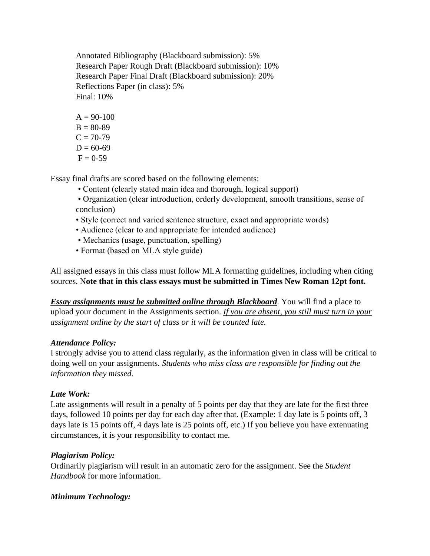Annotated Bibliography (Blackboard submission): 5% Research Paper Rough Draft (Blackboard submission): 10% Research Paper Final Draft (Blackboard submission): 20% Reflections Paper (in class): 5% Final: 10%

 $A = 90-100$  $B = 80-89$  $C = 70-79$  $D = 60-69$  $F = 0-59$ 

Essay final drafts are scored based on the following elements:

- Content (clearly stated main idea and thorough, logical support)
- Organization (clear introduction, orderly development, smooth transitions, sense of conclusion)
- Style (correct and varied sentence structure, exact and appropriate words)
- Audience (clear to and appropriate for intended audience)
- Mechanics (usage, punctuation, spelling)
- Format (based on MLA style guide)

All assigned essays in this class must follow MLA formatting guidelines, including when citing sources. N**ote that in this class essays must be submitted in Times New Roman 12pt font.**

*Essay assignments must be submitted online through Blackboard*. You will find a place to upload your document in the Assignments section. *If you are absent, you still must turn in your assignment online by the start of class or it will be counted late.*

### *Attendance Policy:*

I strongly advise you to attend class regularly, as the information given in class will be critical to doing well on your assignments. *Students who miss class are responsible for finding out the information they missed.*

### *Late Work:*

Late assignments will result in a penalty of 5 points per day that they are late for the first three days, followed 10 points per day for each day after that. (Example: 1 day late is 5 points off, 3 days late is 15 points off, 4 days late is 25 points off, etc.) If you believe you have extenuating circumstances, it is your responsibility to contact me.

### *Plagiarism Policy:*

Ordinarily plagiarism will result in an automatic zero for the assignment. See the *Student Handbook* for more information.

### *Minimum Technology:*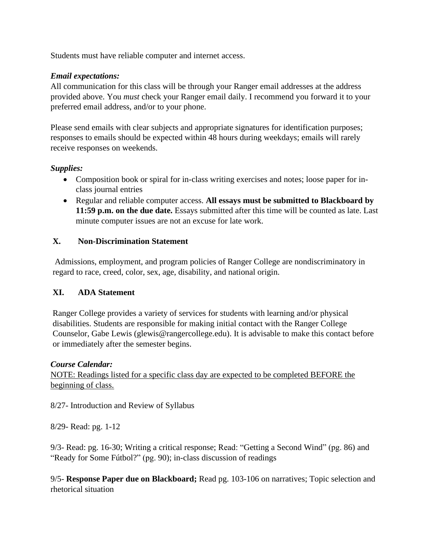Students must have reliable computer and internet access.

#### *Email expectations:*

All communication for this class will be through your Ranger email addresses at the address provided above. You *must* check your Ranger email daily. I recommend you forward it to your preferred email address, and/or to your phone.

Please send emails with clear subjects and appropriate signatures for identification purposes; responses to emails should be expected within 48 hours during weekdays; emails will rarely receive responses on weekends.

### *Supplies:*

- Composition book or spiral for in-class writing exercises and notes; loose paper for inclass journal entries
- Regular and reliable computer access. **All essays must be submitted to Blackboard by 11:59 p.m. on the due date.** Essays submitted after this time will be counted as late. Last minute computer issues are not an excuse for late work.

# **X. Non-Discrimination Statement**

Admissions, employment, and program policies of Ranger College are nondiscriminatory in regard to race, creed, color, sex, age, disability, and national origin.

### **XI. ADA Statement**

Ranger College provides a variety of services for students with learning and/or physical disabilities. Students are responsible for making initial contact with the Ranger College Counselor, Gabe Lewis (glewis@rangercollege.edu). It is advisable to make this contact before or immediately after the semester begins.

### *Course Calendar:*

NOTE: Readings listed for a specific class day are expected to be completed BEFORE the beginning of class.

8/27- Introduction and Review of Syllabus

8/29- Read: pg. 1-12

9/3- Read: pg. 16-30; Writing a critical response; Read: "Getting a Second Wind" (pg. 86) and "Ready for Some Fútbol?" (pg. 90); in-class discussion of readings

9/5- **Response Paper due on Blackboard;** Read pg. 103-106 on narratives; Topic selection and rhetorical situation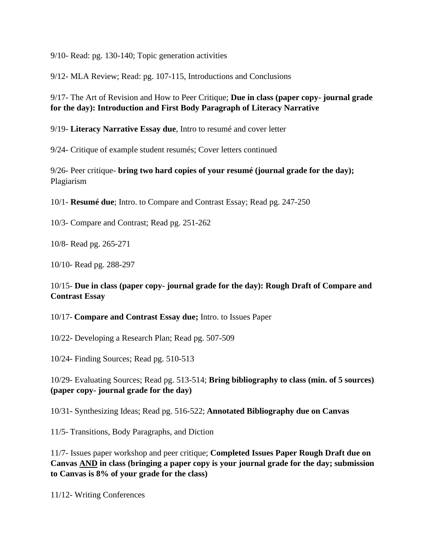9/10- Read: pg. 130-140; Topic generation activities

9/12- MLA Review; Read: pg. 107-115, Introductions and Conclusions

9/17- The Art of Revision and How to Peer Critique; **Due in class (paper copy- journal grade for the day): Introduction and First Body Paragraph of Literacy Narrative**

9/19- **Literacy Narrative Essay due**, Intro to resumé and cover letter

9/24- Critique of example student resumés; Cover letters continued

9/26- Peer critique- **bring two hard copies of your resumé (journal grade for the day);**  Plagiarism

10/1- **Resumé due**; Intro. to Compare and Contrast Essay; Read pg. 247-250

10/3- Compare and Contrast; Read pg. 251-262

10/8- Read pg. 265-271

10/10- Read pg. 288-297

### 10/15- **Due in class (paper copy- journal grade for the day): Rough Draft of Compare and Contrast Essay**

10/17- **Compare and Contrast Essay due;** Intro. to Issues Paper

10/22- Developing a Research Plan; Read pg. 507-509

10/24- Finding Sources; Read pg. 510-513

10/29- Evaluating Sources; Read pg. 513-514; **Bring bibliography to class (min. of 5 sources) (paper copy- journal grade for the day)**

10/31- Synthesizing Ideas; Read pg. 516-522; **Annotated Bibliography due on Canvas**

11/5- Transitions, Body Paragraphs, and Diction

11/7- Issues paper workshop and peer critique; **Completed Issues Paper Rough Draft due on Canvas AND in class (bringing a paper copy is your journal grade for the day; submission to Canvas is 8% of your grade for the class)**

11/12- Writing Conferences